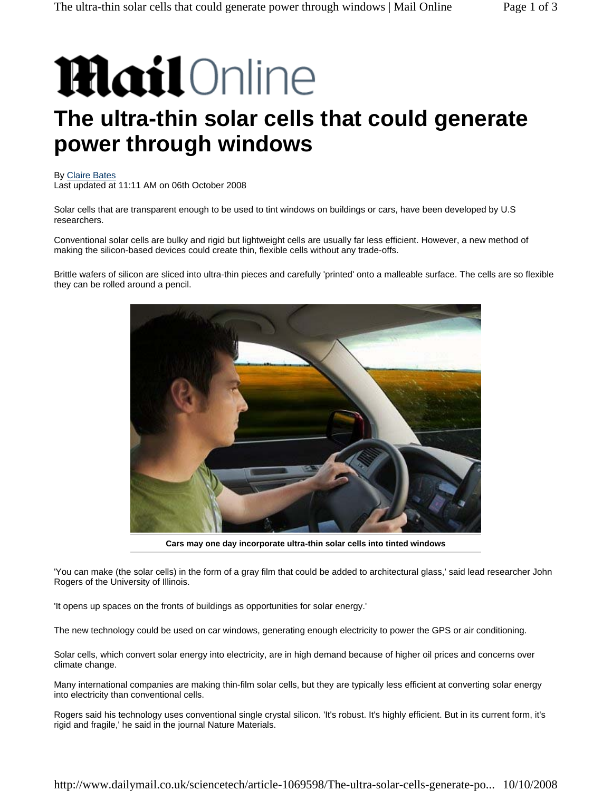# **Mail** Online

## **The ultra-thin solar cells that could generate power through windows**

#### By Claire Bates

Last updated at 11:11 AM on 06th October 2008

Solar cells that are transparent enough to be used to tint windows on buildings or cars, have been developed by U.S researchers.

Conventional solar cells are bulky and rigid but lightweight cells are usually far less efficient. However, a new method of making the silicon-based devices could create thin, flexible cells without any trade-offs.

Brittle wafers of silicon are sliced into ultra-thin pieces and carefully 'printed' onto a malleable surface. The cells are so flexible they can be rolled around a pencil.



**Cars may one day incorporate ultra-thin solar cells into tinted windows**

'You can make (the solar cells) in the form of a gray film that could be added to architectural glass,' said lead researcher John Rogers of the University of Illinois.

'It opens up spaces on the fronts of buildings as opportunities for solar energy.'

The new technology could be used on car windows, generating enough electricity to power the GPS or air conditioning.

Solar cells, which convert solar energy into electricity, are in high demand because of higher oil prices and concerns over climate change.

Many international companies are making thin-film solar cells, but they are typically less efficient at converting solar energy into electricity than conventional cells.

Rogers said his technology uses conventional single crystal silicon. 'It's robust. It's highly efficient. But in its current form, it's rigid and fragile,' he said in the journal Nature Materials.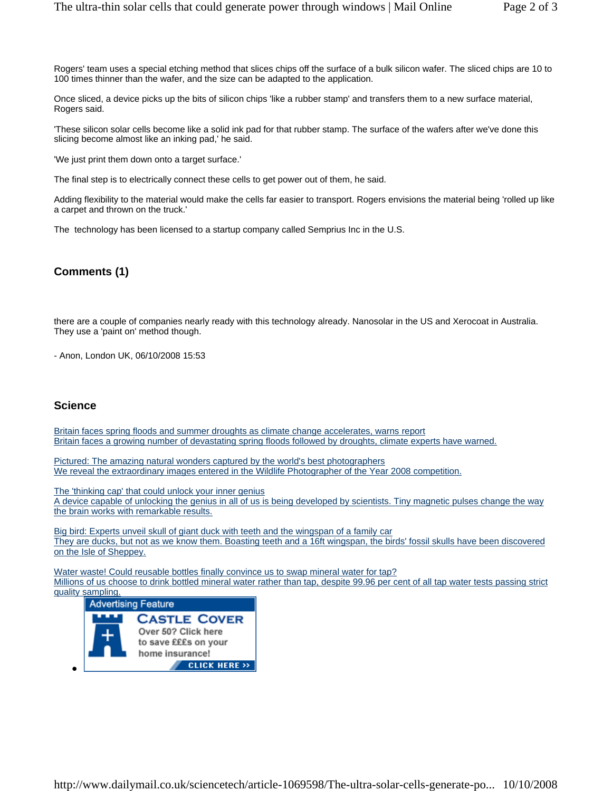Rogers' team uses a special etching method that slices chips off the surface of a bulk silicon wafer. The sliced chips are 10 to 100 times thinner than the wafer, and the size can be adapted to the application.

Once sliced, a device picks up the bits of silicon chips 'like a rubber stamp' and transfers them to a new surface material, Rogers said.

'These silicon solar cells become like a solid ink pad for that rubber stamp. The surface of the wafers after we've done this slicing become almost like an inking pad,' he said.

'We just print them down onto a target surface.'

The final step is to electrically connect these cells to get power out of them, he said.

Adding flexibility to the material would make the cells far easier to transport. Rogers envisions the material being 'rolled up like a carpet and thrown on the truck.'

The technology has been licensed to a startup company called Semprius Inc in the U.S.

#### **Comments (1)**

there are a couple of companies nearly ready with this technology already. Nanosolar in the US and Xerocoat in Australia. They use a 'paint on' method though.

- Anon, London UK, 06/10/2008 15:53

#### **Science**

Britain faces spring floods and summer droughts as climate change accelerates, warns report Britain faces a growing number of devastating spring floods followed by droughts, climate experts have warned.

Pictured: The amazing natural wonders captured by the world's best photographers We reveal the extraordinary images entered in the Wildlife Photographer of the Year 2008 competition.

The 'thinking cap' that could unlock your inner genius A device capable of unlocking the genius in all of us is being developed by scientists. Tiny magnetic pulses change the way the brain works with remarkable results.

Big bird: Experts unveil skull of giant duck with teeth and the wingspan of a family car They are ducks, but not as we know them. Boasting teeth and a 16ft wingspan, the birds' fossil skulls have been discovered on the Isle of Sheppey.

Water waste! Could reusable bottles finally convince us to swap mineral water for tap? Millions of us choose to drink bottled mineral water rather than tap, despite 99.96 per cent of all tap water tests passing strict quality sampling.